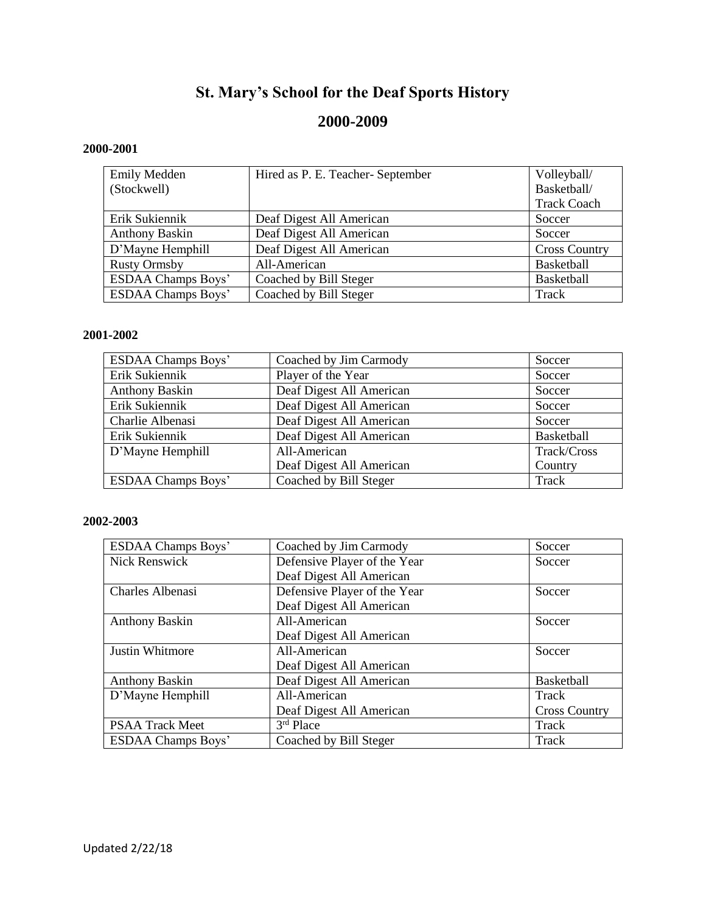# **St. Mary's School for the Deaf Sports History**

# **2000-2009**

# **2000-2001**

| <b>Emily Medden</b>       | Hired as P. E. Teacher-September | Volleyball/          |
|---------------------------|----------------------------------|----------------------|
| (Stockwell)               |                                  | Basketball/          |
|                           |                                  | <b>Track Coach</b>   |
| Erik Sukiennik            | Deaf Digest All American         | Soccer               |
| <b>Anthony Baskin</b>     | Deaf Digest All American         | Soccer               |
| D'Mayne Hemphill          | Deaf Digest All American         | <b>Cross Country</b> |
| <b>Rusty Ormsby</b>       | All-American                     | <b>Basketball</b>    |
| <b>ESDAA Champs Boys'</b> | Coached by Bill Steger           | Basketball           |
| <b>ESDAA Champs Boys'</b> | Coached by Bill Steger           | Track                |

#### **2001-2002**

| <b>ESDAA Champs Boys'</b> | Coached by Jim Carmody   | Soccer      |
|---------------------------|--------------------------|-------------|
| Erik Sukiennik            | Player of the Year       | Soccer      |
| <b>Anthony Baskin</b>     | Deaf Digest All American | Soccer      |
| Erik Sukiennik            | Deaf Digest All American | Soccer      |
| Charlie Albenasi          | Deaf Digest All American | Soccer      |
| Erik Sukiennik            | Deaf Digest All American | Basketball  |
| D'Mayne Hemphill          | All-American             | Track/Cross |
|                           | Deaf Digest All American | Country     |
| <b>ESDAA Champs Boys'</b> | Coached by Bill Steger   | Track       |

| <b>ESDAA Champs Boys'</b> | Coached by Jim Carmody             | Soccer               |
|---------------------------|------------------------------------|----------------------|
| Nick Renswick             | Defensive Player of the Year       | Soccer               |
|                           | Deaf Digest All American           |                      |
| Charles Albenasi          | Defensive Player of the Year       | Soccer               |
|                           | Deaf Digest All American           |                      |
| <b>Anthony Baskin</b>     | All-American                       | Soccer               |
|                           | Deaf Digest All American           |                      |
| <b>Justin Whitmore</b>    | All-American                       | Soccer               |
|                           | Deaf Digest All American           |                      |
| <b>Anthony Baskin</b>     | Deaf Digest All American           | <b>Basketball</b>    |
| D'Mayne Hemphill          | All-American                       | Track                |
|                           | Deaf Digest All American           | <b>Cross Country</b> |
| PSAA Track Meet           | $\overline{3}$ <sup>rd</sup> Place | Track                |
| <b>ESDAA Champs Boys'</b> | Coached by Bill Steger             | Track                |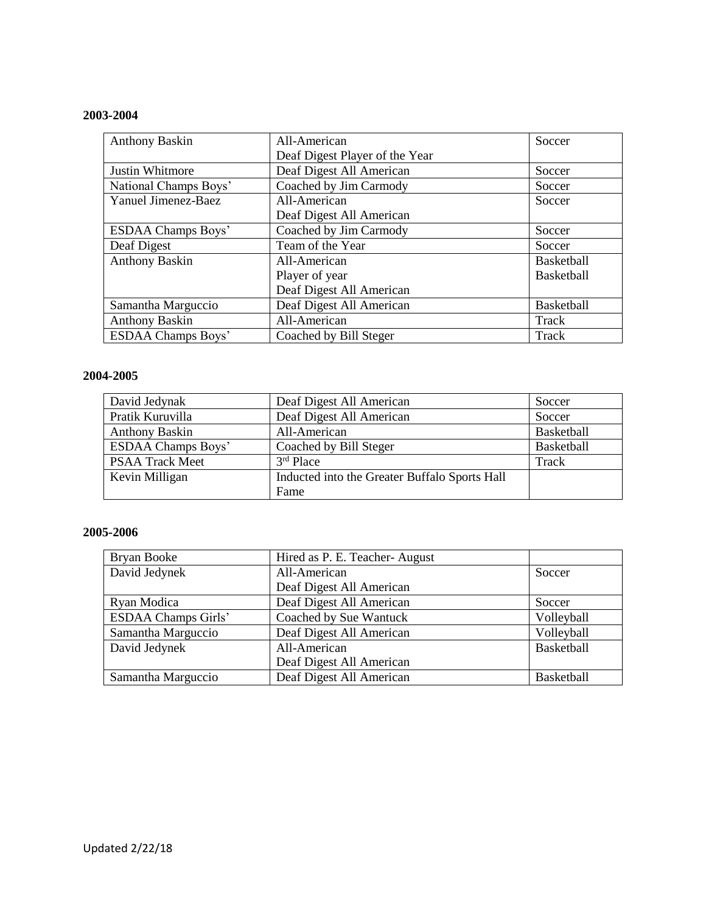# **2003-2004**

| <b>Anthony Baskin</b>     | All-American                   | Soccer            |
|---------------------------|--------------------------------|-------------------|
|                           | Deaf Digest Player of the Year |                   |
| Justin Whitmore           | Deaf Digest All American       | Soccer            |
| National Champs Boys'     | Coached by Jim Carmody         | Soccer            |
| Yanuel Jimenez-Baez       | All-American                   | Soccer            |
|                           | Deaf Digest All American       |                   |
| <b>ESDAA Champs Boys'</b> | Coached by Jim Carmody         | Soccer            |
| Deaf Digest               | Team of the Year               | Soccer            |
| <b>Anthony Baskin</b>     | All-American                   | <b>Basketball</b> |
|                           | Player of year                 | <b>Basketball</b> |
|                           | Deaf Digest All American       |                   |
| Samantha Marguccio        | Deaf Digest All American       | Basketball        |
| <b>Anthony Baskin</b>     | All-American                   | Track             |
| <b>ESDAA Champs Boys'</b> | Coached by Bill Steger         | Track             |

#### **2004-2005**

| David Jedynak             | Deaf Digest All American                      | Soccer     |
|---------------------------|-----------------------------------------------|------------|
| Pratik Kuruvilla          | Deaf Digest All American                      | Soccer     |
| <b>Anthony Baskin</b>     | All-American                                  | Basketball |
| <b>ESDAA Champs Boys'</b> | Coached by Bill Steger                        | Basketball |
| <b>PSAA Track Meet</b>    | 3rd Place                                     | Track      |
| Kevin Milligan            | Inducted into the Greater Buffalo Sports Hall |            |
|                           | Fame                                          |            |

| Bryan Booke                | Hired as P. E. Teacher-August |            |
|----------------------------|-------------------------------|------------|
| David Jedynek              | All-American                  | Soccer     |
|                            | Deaf Digest All American      |            |
| Ryan Modica                | Deaf Digest All American      | Soccer     |
| <b>ESDAA Champs Girls'</b> | Coached by Sue Wantuck        | Volleyball |
| Samantha Marguccio         | Deaf Digest All American      | Volleyball |
| David Jedynek              | All-American                  | Basketball |
|                            | Deaf Digest All American      |            |
| Samantha Marguccio         | Deaf Digest All American      | Basketball |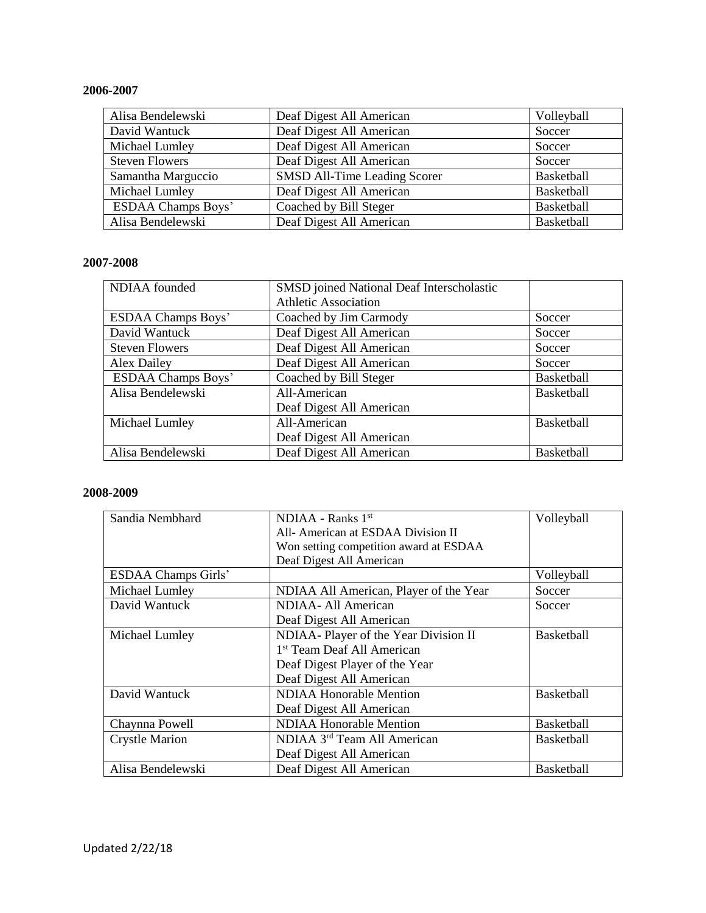## **2006-2007**

| Alisa Bendelewski         | Deaf Digest All American     | Volleyball        |
|---------------------------|------------------------------|-------------------|
| David Wantuck             | Deaf Digest All American     | Soccer            |
| Michael Lumley            | Deaf Digest All American     | Soccer            |
| <b>Steven Flowers</b>     | Deaf Digest All American     | Soccer            |
| Samantha Marguccio        | SMSD All-Time Leading Scorer | <b>Basketball</b> |
| Michael Lumley            | Deaf Digest All American     | Basketball        |
| <b>ESDAA Champs Boys'</b> | Coached by Bill Steger       | Basketball        |
| Alisa Bendelewski         | Deaf Digest All American     | Basketball        |

# **2007-2008**

| NDIAA founded             | <b>SMSD</b> joined National Deaf Interscholastic |                   |
|---------------------------|--------------------------------------------------|-------------------|
|                           | <b>Athletic Association</b>                      |                   |
| <b>ESDAA Champs Boys'</b> | Coached by Jim Carmody                           | Soccer            |
| David Wantuck             | Deaf Digest All American                         | Soccer            |
| <b>Steven Flowers</b>     | Deaf Digest All American                         | Soccer            |
| Alex Dailey               | Deaf Digest All American                         | Soccer            |
| <b>ESDAA Champs Boys'</b> | Coached by Bill Steger                           | Basketball        |
| Alisa Bendelewski         | All-American                                     | <b>Basketball</b> |
|                           | Deaf Digest All American                         |                   |
| Michael Lumley            | All-American                                     | Basketball        |
|                           | Deaf Digest All American                         |                   |
| Alisa Bendelewski         | Deaf Digest All American                         | Basketball        |

| Sandia Nembhard            | $NDIAA - Ranks$ 1 <sup>st</sup>         | Volleyball        |
|----------------------------|-----------------------------------------|-------------------|
|                            | All- American at ESDAA Division II      |                   |
|                            | Won setting competition award at ESDAA  |                   |
|                            | Deaf Digest All American                |                   |
| <b>ESDAA Champs Girls'</b> |                                         | Volleyball        |
| Michael Lumley             | NDIAA All American, Player of the Year  | Soccer            |
| David Wantuck              | NDIAA- All American                     | Soccer            |
|                            | Deaf Digest All American                |                   |
| Michael Lumley             | NDIAA- Player of the Year Division II   | <b>Basketball</b> |
|                            | 1 <sup>st</sup> Team Deaf All American  |                   |
|                            | Deaf Digest Player of the Year          |                   |
|                            | Deaf Digest All American                |                   |
| David Wantuck              | <b>NDIAA Honorable Mention</b>          | <b>Basketball</b> |
|                            | Deaf Digest All American                |                   |
| Chaynna Powell             | <b>NDIAA Honorable Mention</b>          | <b>Basketball</b> |
| <b>Crystle Marion</b>      | NDIAA 3 <sup>rd</sup> Team All American | <b>Basketball</b> |
|                            | Deaf Digest All American                |                   |
| Alisa Bendelewski          | Deaf Digest All American                | <b>Basketball</b> |